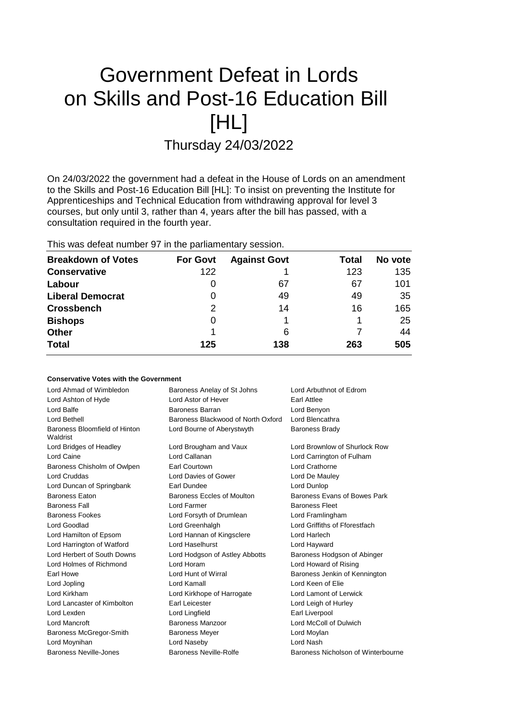# Government Defeat in Lords on Skills and Post-16 Education Bill [HL] Thursday 24/03/2022

On 24/03/2022 the government had a defeat in the House of Lords on an amendment to the Skills and Post-16 Education Bill [HL]: To insist on preventing the Institute for Apprenticeships and Technical Education from withdrawing approval for level 3 courses, but only until 3, rather than 4, years after the bill has passed, with a consultation required in the fourth year.

This was defeat number 97 in the parliamentary session.

| <b>Breakdown of Votes</b> | <b>For Govt</b> | <b>Against Govt</b> | Total | No vote |
|---------------------------|-----------------|---------------------|-------|---------|
| <b>Conservative</b>       | 122             |                     | 123   | 135     |
| Labour                    | O               | 67                  | 67    | 101     |
| <b>Liberal Democrat</b>   | 0               | 49                  | 49    | 35      |
| <b>Crossbench</b>         | 2               | 14                  | 16    | 165     |
| <b>Bishops</b>            | 0               |                     |       | 25      |
| <b>Other</b>              |                 | 6                   |       | 44      |
| <b>Total</b>              | 125             | 138                 | 263   | 505     |

# **Conservative Votes with the Government**

| Lord Ahmad of Wimbledon                   | Baroness Anelay of St Johns<br>Lord Arbuthnot of Edrom |                                    |  |
|-------------------------------------------|--------------------------------------------------------|------------------------------------|--|
| Lord Ashton of Hyde                       | Lord Astor of Hever                                    | Earl Attlee                        |  |
| Lord Balfe                                | Baroness Barran                                        | Lord Benyon                        |  |
| Lord Bethell                              | Baroness Blackwood of North Oxford                     | Lord Blencathra                    |  |
| Baroness Bloomfield of Hinton<br>Waldrist | Lord Bourne of Aberystwyth                             | <b>Baroness Brady</b>              |  |
| Lord Bridges of Headley                   | Lord Brougham and Vaux                                 | Lord Brownlow of Shurlock Row      |  |
| Lord Caine                                | Lord Callanan                                          | Lord Carrington of Fulham          |  |
| Baroness Chisholm of Owlpen               | Earl Courtown                                          | Lord Crathorne                     |  |
| <b>Lord Cruddas</b>                       | Lord Davies of Gower                                   | Lord De Mauley                     |  |
| Lord Duncan of Springbank                 | Earl Dundee                                            | Lord Dunlop                        |  |
| <b>Baroness Eaton</b>                     | Baroness Eccles of Moulton                             | Baroness Evans of Bowes Park       |  |
| <b>Baroness Fall</b>                      | Lord Farmer                                            | <b>Baroness Fleet</b>              |  |
| <b>Baroness Fookes</b>                    | Lord Forsyth of Drumlean                               | Lord Framlingham                   |  |
| Lord Goodlad                              | Lord Greenhalgh                                        | Lord Griffiths of Fforestfach      |  |
| Lord Hamilton of Epsom                    | Lord Hannan of Kingsclere                              | Lord Harlech                       |  |
| Lord Harrington of Watford                | Lord Haselhurst                                        | Lord Hayward                       |  |
| Lord Herbert of South Downs               | Lord Hodgson of Astley Abbotts                         | Baroness Hodgson of Abinger        |  |
| Lord Holmes of Richmond                   | Lord Horam                                             | Lord Howard of Rising              |  |
| Earl Howe                                 | Lord Hunt of Wirral                                    | Baroness Jenkin of Kennington      |  |
| Lord Jopling                              | Lord Kamall                                            | Lord Keen of Elie                  |  |
| Lord Kirkham                              | Lord Kirkhope of Harrogate                             | Lord Lamont of Lerwick             |  |
| Lord Lancaster of Kimbolton               | <b>Earl Leicester</b>                                  | Lord Leigh of Hurley               |  |
| Lord Lexden                               | Lord Lingfield                                         | Earl Liverpool                     |  |
| Lord Mancroft                             | Baroness Manzoor                                       | Lord McColl of Dulwich             |  |
| Baroness McGregor-Smith                   | <b>Baroness Meyer</b>                                  | Lord Moylan                        |  |
| Lord Moynihan                             | Lord Naseby                                            | Lord Nash                          |  |
| Baroness Neville-Jones                    | Baroness Neville-Rolfe                                 | Baroness Nicholson of Winterbourne |  |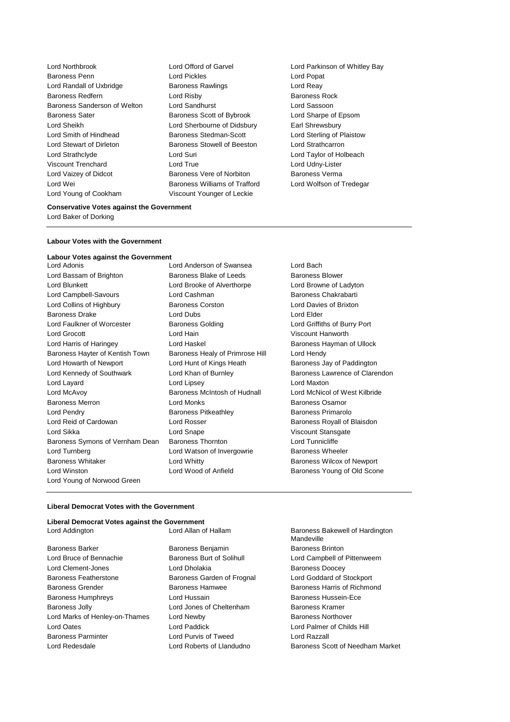Lord Northbrook Lord Offord of Garvel Lord Parkinson of Whitley Bay Baroness Penn **Lord Pickles** Lord Pickles **Lord Popat** Lord Randall of Uxbridge **Baroness Rawlings Lord Reay** Baroness Redfern Lord Risby Baroness Rock Baroness Sanderson of Welton Lord Sandhurst Lord Sassoon Baroness Sater Baroness Scott of Bybrook Lord Sharpe of Epsom Lord Sheikh Lord Sherbourne of Didsbury Earl Shrewsbury Lord Smith of Hindhead **Baroness Stedman-Scott** Lord Sterling of Plaistow Lord Stewart of Dirleton Baroness Stowell of Beeston Lord Strathcarron Lord Strathclyde Lord Suri Lord Taylor of Holbeach Viscount Trenchard Lord True Lord Udny-Lister Lord Vaizey of Didcot **Baroness Vere of Norbiton** Baroness Verma<br>
Lord Wei **Baroness Williams of Trafford** Lord Wolfson of Tredegar Lord Wei **Baroness Williams of Trafford** Lord Young of Cookham Viscount Younger of Leckie

#### **Conservative Votes against the Government**

Lord Baker of Dorking

## **Labour Votes with the Government**

## **Labour Votes against the Government**

- Lord Adonis Lord Anderson of Swansea Lord Bach Lord Bassam of Brighton **Baroness Blake of Leeds** Baroness Blower Lord Blunkett Lord Brooke of Alverthorpe Lord Browne of Ladyton Lord Campbell-Savours **Lord Cashman** Baroness Chakrabarti Lord Collins of Highbury Baroness Corston Lord Davies of Brixton Baroness Drake Lord Dubs Lord Elder Lord Faulkner of Worcester Baroness Golding Lord Griffiths of Burry Port Lord Grocott Lord Hain Viscount Hanworth Lord Harris of Haringey **Lord Haskel Condensive Hayman of Ullock** Baroness Hayman of Ullock Baroness Hayter of Kentish Town Baroness Healy of Primrose Hill Lord Hendy Lord Howarth of Newport Lord Hunt of Kings Heath Baroness Jay of Paddington Lord Kennedy of Southwark Lord Khan of Burnley Baroness Lawrence of Clarendon Lord Layard Lord Lipsey Lord Maxton Lord McAvoy Baroness McIntosh of Hudnall Lord McNicol of West Kilbride Baroness Merron Lord Monks Baroness Osamor Lord Pendry Baroness Pitkeathley Baroness Primarolo Lord Reid of Cardowan **Lord Rosser Lord Rosser** Baroness Royall of Blaisdon Lord Sikka Lord Snape Viscount Stansgate Baroness Symons of Vernham Dean Baroness Thornton Lord Tunnicliffe Lord Turnberg **Lord Watson of Invergowrie** Baroness Wheeler Baroness Whitaker **Lord Whitty Communist Example 20** Baroness Wilcox of Newport Lord Winston **Lord Wood of Anfield** Baroness Young of Old Scone Lord Young of Norwood Green
	-
- 

## **Liberal Democrat Votes with the Government**

| Liberal Democrat Votes against the Government |                            |                                               |  |
|-----------------------------------------------|----------------------------|-----------------------------------------------|--|
| Lord Addington                                | Lord Allan of Hallam       | Baroness Bakewell of Hardington<br>Mandeville |  |
| <b>Baroness Barker</b>                        | Baroness Benjamin          | <b>Baroness Brinton</b>                       |  |
| Lord Bruce of Bennachie                       | Baroness Burt of Solihull  | Lord Campbell of Pittenweem                   |  |
| Lord Clement-Jones                            | Lord Dholakia              | <b>Baroness Doocey</b>                        |  |
| <b>Baroness Featherstone</b>                  | Baroness Garden of Frognal | Lord Goddard of Stockport                     |  |
| <b>Baroness Grender</b>                       | <b>Baroness Hamwee</b>     | Baroness Harris of Richmond                   |  |
| <b>Baroness Humphreys</b>                     | Lord Hussain               | Baroness Hussein-Ece                          |  |
| <b>Baroness Jolly</b>                         | Lord Jones of Cheltenham   | Baroness Kramer                               |  |
| Lord Marks of Henley-on-Thames                | Lord Newby                 | <b>Baroness Northover</b>                     |  |
| Lord Oates                                    | Lord Paddick               | Lord Palmer of Childs Hill                    |  |
| <b>Baroness Parminter</b>                     | Lord Purvis of Tweed       | Lord Razzall                                  |  |
| Lord Redesdale                                | Lord Roberts of Llandudno  | Baroness Scott of Needham Market              |  |